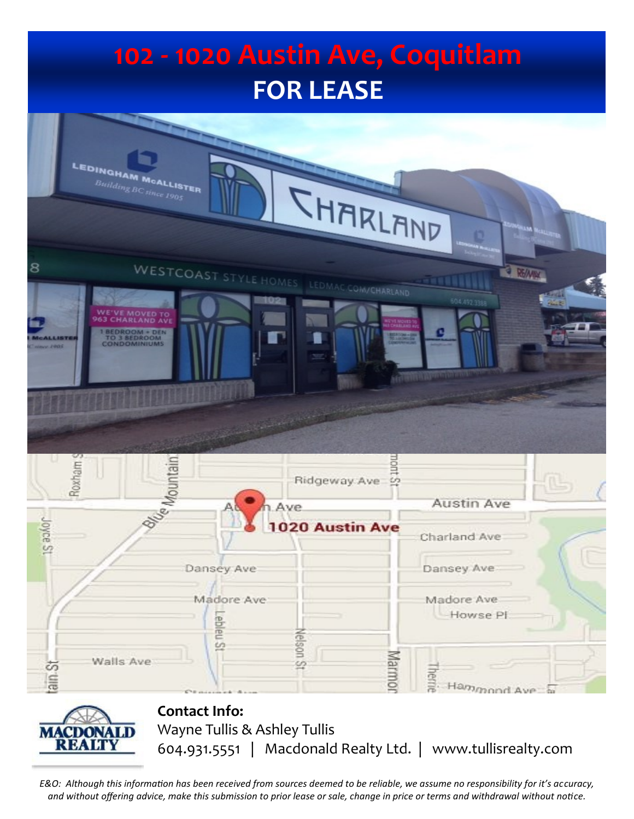# **102 - 1020 Austin Ave, Coquitlam FOR LEASE** EDINGHAM MCALLISTER  $BuildingB$

|                                                                                                 | <b>SHARLAND</b>                           |                                                          |
|-------------------------------------------------------------------------------------------------|-------------------------------------------|----------------------------------------------------------|
|                                                                                                 | WESTCOAST STYLE HOMES LEDMAC COM/CHARLAND | <b>E REAMAN</b>                                          |
| <b>MOVED TO</b><br><b>HARLAND AVE</b><br><b>BEDROOM + DEN<br/>TO 3 BEDROOM<br/>CONDOMINIUMS</b> | $\blacklozenge$                           | 504.492.3388<br>an a<br><b>The Little School Service</b> |
|                                                                                                 |                                           |                                                          |
| Roxham <sub>S</sub>                                                                             | Ridgeway Ave                              |                                                          |
| 8/ <sub>6</sub><br><sup>16</sup> Mountain                                                       | Ave.                                      | Austin Ave                                               |
| Joyce St                                                                                        | 1020 Austin Ave                           | Charland Ave                                             |
|                                                                                                 |                                           |                                                          |
|                                                                                                 | Dansey Ave                                | Dansey Ave                                               |
|                                                                                                 | Madore Ave.<br>Lebleu St<br>Nelson St     | Madore Ave<br>Howse Pl                                   |



**Contact Info:** Wayne Tullis & Ashley Tullis 604.931.5551 | Macdonald Realty Ltd. | www.tullisrealty.com

*E&O: Although this information has been received from sources deemed to be reliable, we assume no responsibility for it's accuracy, and without offering advice, make this submission to prior lease or sale, change in price or terms and withdrawal without notice.*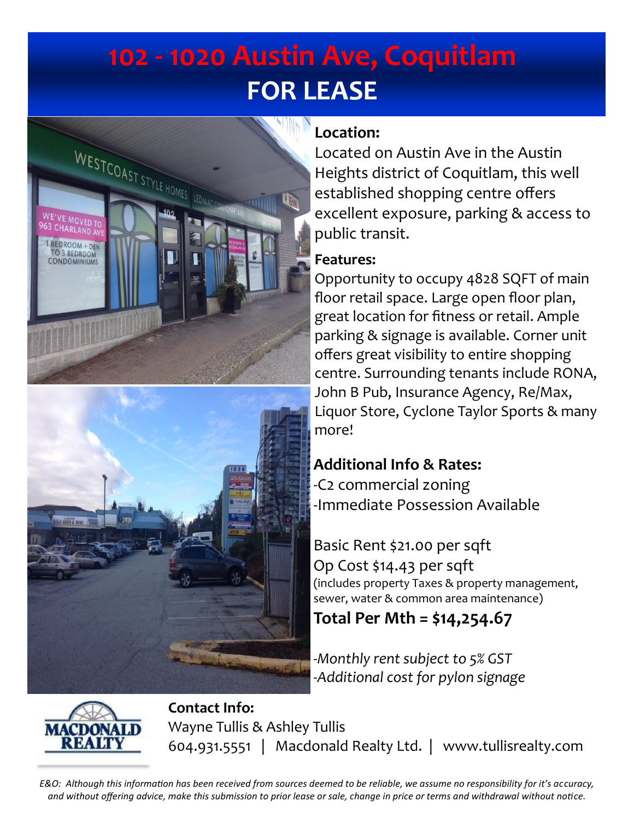## **102 - 1020 Austin Ave, Coquitlam FOR LEASE**





### **Location:**

Located on Austin Ave in the Austin Heights district of Coquitlam, this well established shopping centre offers excellent exposure, parking & access to public transit.

#### **Features:**

Opportunity to occupy 4828 SQFT of main floor retail space. Large open floor plan, great location for fitness or retail. Ample parking & signage is available. Corner unit offers great visibility to entire shopping centre. Surrounding tenants include RONA, John B Pub, Insurance Agency, Re/Max, Liquor Store, Cyclone Taylor Sports & many more!

### **Additional Info & Rates:**

-C2 commercial zoning -Immediate Possession Available

Basic Rent \$21.00 per sqft Op Cost \$14.43 per sqft (includes property Taxes & property management, sewer, water & common area maintenance)

### **Total Per Mth = \$14,254.67**

*-Monthly rent subject to 5% GST -Additional cost for pylon signage* 



**Contact Info:** Wayne Tullis & Ashley Tullis 604.931.5551 | Macdonald Realty Ltd. | www.tullisrealty.com

*E&O: Although this information has been received from sources deemed to be reliable, we assume no responsibility for it's accuracy, and without offering advice, make this submission to prior lease or sale, change in price or terms and withdrawal without notice.*